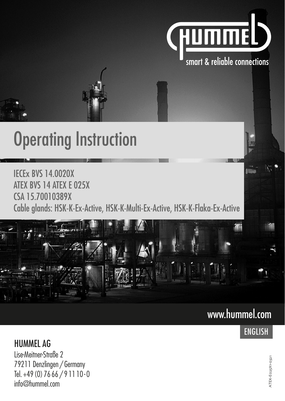

# **Operating Instruction**

IECEx BVS 14.0020X ATEX BVS 14 ATEX E 025X CSA 15.70010389X Cable glands: HSK-K-Ex-Active, HSK-K-Multi-Ex-Active, HSK-K-Flaka-Ex-Active



# www.hummel.com

# ENGLISH

**Allen** 

HUMMEL AG Lise-Meitner-Straße 2 79211 Denzlingen / Germany Tel. +49 (0) 76 66 / 9 11 10 - 0 info@hummel.com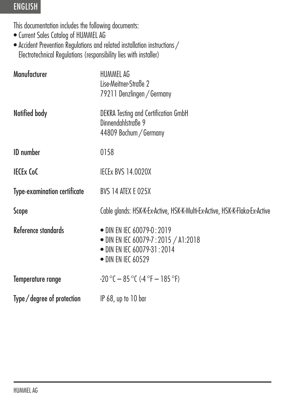This documentation includes the following documents:

- Current Sales Catalog of HUMMEL AG
- Accident Prevention Regulations and related installation instructions / Electrotechnical Regulations (responsibility lies with installer)

| Manufacturer                        | HUMMEL AG<br>Lise-Meitner-Straße 2<br>79211 Denzlingen / Germany                                                                   |
|-------------------------------------|------------------------------------------------------------------------------------------------------------------------------------|
| Notified body                       | DEKRA Testing and Certification GmbH<br>Dinnendahlstraße 9<br>44809 Bochum / Germany                                               |
| <b>ID</b> number                    | 0158                                                                                                                               |
| <b>IECEX CoC</b>                    | <b>IECEX BVS 14.0020X</b>                                                                                                          |
| <b>Type-examination certificate</b> | BVS 14 ATEX E 025X                                                                                                                 |
| Scope                               | Cable glands: HSK-K-Ex-Active, HSK-K-Multi-Ex-Active, HSK-K-Flaka-Ex-Active                                                        |
| Reference standards                 | • DIN EN IEC 60079-0 : 2019<br>• DIN EN IEC 60079-7 : 2015 / A1:2018<br>• DIN EN IEC 60079-31 : 2014<br>$\bullet$ DIN EN IEC 60529 |
| Temperature range                   | $-20$ °C $-85$ °C ( $-4$ °F $-185$ °F)                                                                                             |
| Type/degree of protection           | $IP 68$ , up to $10$ bar                                                                                                           |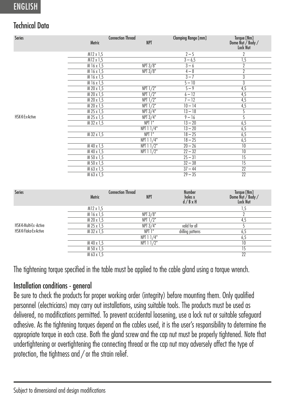#### Technical Data

| Series          | <b>Metric</b> | <b>Connection Thread</b><br><b>NPT</b> | <b>Clamping Range [mm]</b> | Torque [Nm]<br>Dome Nut / Body /<br>Lock Nut |
|-----------------|---------------|----------------------------------------|----------------------------|----------------------------------------------|
|                 | M12 x 1,5     |                                        | $2 - 5$                    | $\overline{2}$                               |
|                 | M12 x 1,5     |                                        | $3 - 6,5$                  | 1,5                                          |
|                 | M 16 x 1,5    | NPT 3/8"                               | $3 - 6$                    | 7                                            |
|                 | M 16 x 1,5    | NPT 3/8"                               | $4 - 8$                    | $\overline{2}$                               |
|                 | M16x1,5       |                                        | $3 - 7$                    | $\overline{3}$                               |
|                 | M16x1,5       |                                        | $5 - 10$                   | $\overline{3}$                               |
|                 | M 20 x 1.5    | $NPT$ $1/2$ <sup>*</sup>               | $5 - 9$                    | 4,5                                          |
|                 | M 20 x 1,5    | $NPT$ $1/2$ <sup>*</sup>               | $6 - 12$                   | 4,5                                          |
|                 | M 20 x 1,5    | $NPT$ $1/2$ <sup>*</sup>               | $7 - 12$                   | 4,5                                          |
|                 | M 20 x 1,5    | $NPT$ $1/2$ <sup>*</sup>               | $10 - 14$                  | 4,5                                          |
|                 | M 25 x 1,5    | NPT 3/4"                               | $13 - 18$                  | 5                                            |
| HSK-K-Ex-Active | $M$ 25 x 1,5  | NPT 3/4"                               | $9 - 16$                   | 5                                            |
|                 | $M$ 32 x 1.5  | NPT 1"                                 | $13 - 20$                  | 6,5                                          |
|                 |               | NPT 11/4"                              | $13 - 20$                  | 6,5                                          |
|                 | M 32 x 1,5    | NPT 1"                                 | $18 - 25$                  | 6,5                                          |
|                 |               | NPT 11/4"                              | $18 - 25$                  | 6,5                                          |
|                 | M 40 x 1,5    | $NPT$ $11/2"$                          | $20 - 26$                  | $\overline{10}$                              |
|                 | M 40 x 1,5    | NPT 11/2"                              | $22 - 32$                  | $\overline{10}$                              |
|                 | M 50 x 1,5    |                                        | $25 - 31$                  | $\overline{15}$                              |
|                 | M 50 x 1,5    |                                        | $32 - 38$                  | $\overline{15}$                              |
|                 | M 63 x 1,5    |                                        | $37 - 44$                  | $\overline{22}$                              |
|                 | M 63 x 1,5    |                                        | $29 - 35$                  | $\overline{22}$                              |
|                 |               |                                        |                            |                                              |

| <b>Series</b>                                   | <b>Metric</b> | <b>Connection Thread</b><br><b>NPT</b> | <b>Number</b><br>holes x<br>d/BxH | Torque [Nm]<br>Dome Nut / Body /<br>Lock Nut |
|-------------------------------------------------|---------------|----------------------------------------|-----------------------------------|----------------------------------------------|
|                                                 | M12 x 1,5     |                                        |                                   |                                              |
|                                                 | M 16 x 1,5    | NPT 3/8"                               |                                   |                                              |
| HSK-K-Multi-Ex -Active<br>HSK-K-Flaka-Ex-Active | M 20 x 1,5    | $NPT$ $1/2$ <sup>*</sup>               |                                   | $4 \cdot$                                    |
|                                                 | M 25 x 1.5    | NPT 3/4"                               | valid for all                     |                                              |
|                                                 | M 32 x 1,5    | NPT 1"                                 | drilling patterns                 |                                              |
|                                                 |               | NPT 1 1/4"                             |                                   |                                              |
|                                                 | M 40 x 1,5    | $NPT$ $11/2"$                          |                                   | 10                                           |
|                                                 | M 50 x 1,5    |                                        |                                   |                                              |
|                                                 | M 63 x 1.5    |                                        |                                   | 22                                           |

The tightening torque specified in the table must be applied to the cable gland using a torque wrench.

#### Installation conditions - general

Be sure to check the products for proper working order (integrity) before mounting them. Only qualified personnel (electricians) may carry out installations, using suitable tools. The products must be used as delivered, no modifications permitted. To prevent accidental loosening, use a lock nut or suitable safeguard adhesive. As the tightening torques depend on the cables used, it is the user's responsibility to determine the appropriate torque in each case. Both the gland screw and the cap nut must be properly tightened. Note that undertightening or overtightening the connecting thread or the cap nut may adversely affect the type of protection, the tightness and / or the strain relief.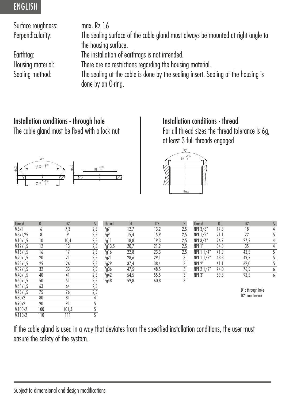Surface roughness: max. Rz 16<br>Perpendicularity: The sealing

The sealing surface of the cable gland must always be mounted at right angle to the housing surface. Earthtag: The installation of earthtags is not intended. There are no restrictions regarding the housing material. Sealing method: The sealing at the cable is done by the sealing insert. Sealing at the housing is done by an O-ring.

# Installation conditions - through hole

The cable gland must be fixed with a lock nut



| Installation conditions - thread |  |  |
|----------------------------------|--|--|
|----------------------------------|--|--|

For all thread sizes the thread tolerance is 6g, at least 3 full threads engaged



| ו ש             | υz              | ್                                        |
|-----------------|-----------------|------------------------------------------|
| 6               | 7,3             | 2,5                                      |
| $\overline{s}$  | 9               |                                          |
| 10              | 10,4            | $\frac{2,5}{2,5}$                        |
| $\overline{12}$ | $\overline{13}$ |                                          |
| 16              |                 | 2,5                                      |
|                 |                 | 2,5                                      |
| 25              | 26              | 2,5                                      |
| 32              |                 | 2,5                                      |
|                 | 41              | $\frac{2,5}{2,5}$                        |
| 50              | 51              |                                          |
| 63              | 64              | 2,5                                      |
| 75              |                 | 2,5                                      |
| 80              | $\overline{81}$ | $\frac{4}{5}$                            |
| 90              | 91              |                                          |
| 100             | 101,3           | $rac{5}{5}$                              |
| 110             | Ш               |                                          |
|                 | 20<br>40        | $\overline{21}$<br>$\overline{33}$<br>76 |

| Thread  | D1 | D <sub>2</sub>  |     | Thread | D1   | D <sub>2</sub> |     | <b>Thread</b>      | D1   | D <sub>2</sub> |  |
|---------|----|-----------------|-----|--------|------|----------------|-----|--------------------|------|----------------|--|
| M6x1    |    | ن.              | 2,5 | Pg     | 12,7 | 13,2           | 2.5 | NPT 3/8"           | 17,3 | 18             |  |
| M8x1,25 |    |                 | 2,5 | Pg9    | 15,4 | 15.9           | 2,5 | <b>NPT 1/2"</b>    |      | n <sub>n</sub> |  |
| M10x1,5 | 10 | 10,4            | 2,5 | Pg11   | 18,8 | 19,3           | 2,5 | NPT 3/4"           | 26,7 | 27,5           |  |
| M12x1,5 | 12 | $\overline{13}$ | 2,5 | Pg13,5 | 20,7 | 21,2           | 2,5 | NPT 1"             | 34,3 | 35             |  |
| M16x1,5 | 16 |                 | 2,5 | Pg16   | 22,8 | 23,3           | 2,5 | NPT 1 1/4"         | 41,9 | 42,5           |  |
| M20x1,5 | 20 |                 | 2,5 | Pg21   | 28,6 | 29,1           |     | $NPT$ 1 $1/2$ "    | 48,8 | 49,5           |  |
| M25x1,5 | 25 | 26              | 2,5 | Pg29   | 37,4 | 38,4           |     | NPT <sub>2</sub> " | 61,1 | 62,0           |  |
| M32x1,5 | 32 | 33              | 2,5 | Pg36   | 47,5 | 48,5           |     | NPT 2 1/2"         | 74,0 | 76,5           |  |
| M40x1,5 | 40 |                 | 2,5 | Pg42   | 54,5 | 55,5           |     | NPT <sub>3</sub> " | 89,8 | 92,5           |  |
| M50x1,5 | 50 |                 | 2,5 | Pg48   | 59,8 | 60,8           |     |                    |      |                |  |
|         |    |                 |     |        |      |                |     |                    |      |                |  |

| <b>Ihread</b>              | DI   | D2   | S              |
|----------------------------|------|------|----------------|
| NPT 3/8"                   | 17,3 | 18   | 4              |
| NPT 1/2"                   | 21,1 | 22   | 5              |
| NPT 3/4"                   | 26,7 | 27,5 | 4              |
| NPT <sub>1</sub>           | 34.3 | 35   | $\overline{4}$ |
| $NPT$ $11/4"$              | 41.9 | 42.5 | 5              |
| NPT 11/2"                  | 48,8 | 49.5 | 5              |
| $\overline{\text{NPI}} 2"$ | 61,1 | 62,0 | $rac{5}{6}$    |
| NPT 2 1/2"                 | 74,0 | 76,5 |                |
| NPT <sub>3</sub> "         | 89,8 | 92,5 | $\overline{6}$ |

D1: through hole D<sub>2</sub>: countersink

If the cable gland is used in a way that deviates from the specified installation conditions, the user must ensure the safety of the system.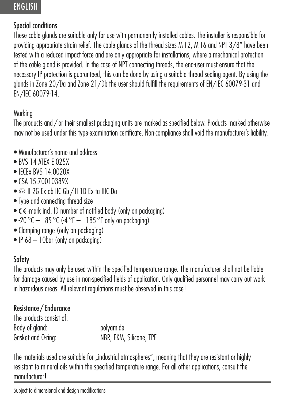#### Special conditions

These cable glands are suitable only for use with permanently installed cables. The installer is responsible for providing appropriate strain relief. The cable glands of the thread sizes M 12, M 16 and NPT 3/8" have been tested with a reduced impact force and are only appropriate for installations, where a mechanical protection of the cable gland is provided. In the case of NPT connecting threads, the end-user must ensure that the necessary IP protection is guaranteed, this can be done by using a suitable thread sealing agent. By using the glands in Zone 20/Da and Zone 21/Db the user should fulfill the requirements of EN/IEC 60079-31 and EN/IEC 60079-14.

#### Marking

The products and / or their smallest packaging units are marked as specified below. Products marked otherwise may not be used under this type-examination certificate. Non-compliance shall void the manufacturer's liability.

- Manufacturer's name and address
- RVS 14 ATEX E 025X
- IFCEx BVS 14.0020X
- CSA 15.70010389X
- $\textcircled{\tiny{\text{F}}}\text{II}$  2G Ex eb IIC Gb / II 1D Ex ta IIIC Da
- Type and connecting thread size
- $\bullet$   $\zeta$   $\epsilon$  -mark incl. ID number of notified body (only on packaging)
- -20 °C  $-$  +85 °C (-4 °F  $-$  +185 °F only on packaging)
- Clamping range (only on packaging)
- IP 68 10bar (only on packaging)

## **Safety**

The products may only be used within the specified temperature range. The manufacturer shall not be liable for damage caused by use in non-specified fields of application. Only qualified personnel may carry out work in hazardous areas. All relevant regulations must be observed in this case!

#### Resistance / Endurance

The products consist of: Body of gland: polyamide NBR, FKM, Silicone, TPE

The materials used are suitable for "industrial atmospheres", meaning that they are resistant or highly resistant to mineral oils within the specified temperature range. For all other applications, consult the manufacturer!

Subject to dimensional and design modifications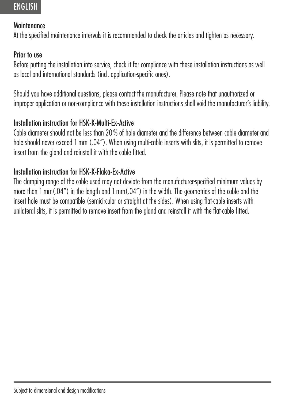#### Maintenance

At the specified maintenance intervals it is recommended to check the articles and tighten as necessary.

#### Prior to use

Before putting the installation into service, check it for compliance with these installation instructions as well as local and international standards (incl. application-specific ones).

Should you have additional questions, please contact the manufacturer. Please note that unauthorized or improper application or non-compliance with these installation instructions shall void the manufacturer's liability.

#### Installation instruction for HSK-K-Multi-Ex-Active

Cable diameter should not be less than 20 % of hole diameter and the difference between cable diameter and hole should never exceed 1 mm (.04"). When using multi-cable inserts with slits, it is permitted to remove insert from the gland and reinstall it with the cable fitted.

#### Installation instruction for HSK-K-Flaka-Ex-Active

The clamping range of the cable used may not deviate from the manufacturer-specified minimum values by more than 1 mm(.04") in the length and 1 mm(.04") in the width. The geometries of the cable and the insert hole must be compatible (semicircular or straight at the sides). When using flat-cable inserts with unilateral slits, it is permitted to remove insert from the gland and reinstall it with the flat-cable fitted.